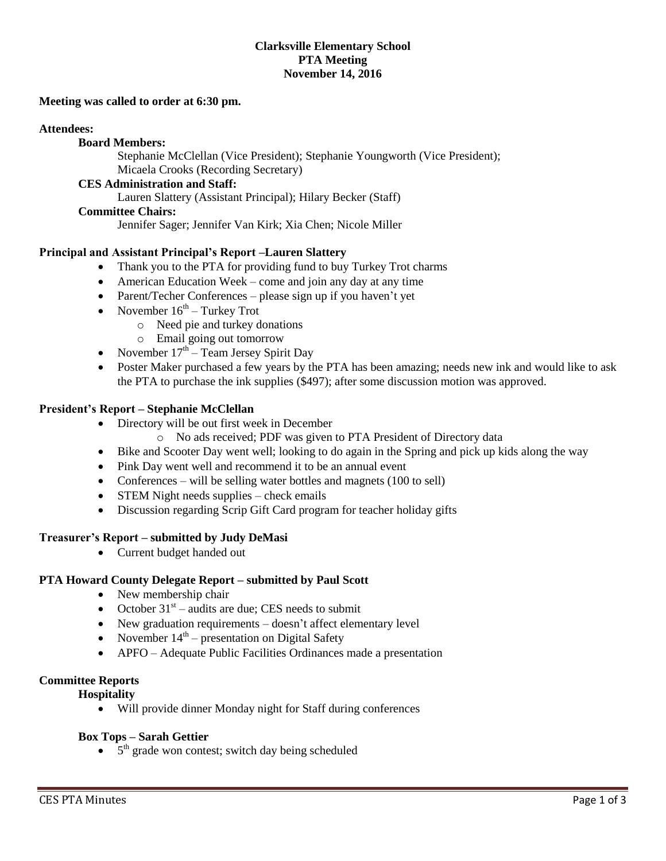### **Clarksville Elementary School PTA Meeting November 14, 2016**

#### **Meeting was called to order at 6:30 pm.**

#### **Attendees:**

### **Board Members:**

Stephanie McClellan (Vice President); Stephanie Youngworth (Vice President); Micaela Crooks (Recording Secretary)

#### **CES Administration and Staff:**

Lauren Slattery (Assistant Principal); Hilary Becker (Staff)

#### **Committee Chairs:**

Jennifer Sager; Jennifer Van Kirk; Xia Chen; Nicole Miller

#### **Principal and Assistant Principal's Report –Lauren Slattery**

- Thank you to the PTA for providing fund to buy Turkey Trot charms
- American Education Week come and join any day at any time
- Parent/Techer Conferences please sign up if you haven't vet
- November  $16<sup>th</sup>$  Turkey Trot
	- o Need pie and turkey donations
	- o Email going out tomorrow
- November  $17<sup>th</sup>$  Team Jersey Spirit Day
- Poster Maker purchased a few years by the PTA has been amazing; needs new ink and would like to ask the PTA to purchase the ink supplies (\$497); after some discussion motion was approved.

#### **President's Report – Stephanie McClellan**

- Directory will be out first week in December
	- o No ads received; PDF was given to PTA President of Directory data
- Bike and Scooter Day went well; looking to do again in the Spring and pick up kids along the way
- Pink Day went well and recommend it to be an annual event
- Conferences will be selling water bottles and magnets (100 to sell)
- STEM Night needs supplies check emails
- Discussion regarding Scrip Gift Card program for teacher holiday gifts

### **Treasurer's Report – submitted by Judy DeMasi**

• Current budget handed out

### **PTA Howard County Delegate Report – submitted by Paul Scott**

- New membership chair
- October  $31<sup>st</sup>$  audits are due; CES needs to submit
- New graduation requirements doesn't affect elementary level
- November  $14<sup>th</sup>$  presentation on Digital Safety
- APFO Adequate Public Facilities Ordinances made a presentation

### **Committee Reports**

**Hospitality**

Will provide dinner Monday night for Staff during conferences

### **Box Tops – Sarah Gettier**

 $\bullet$  5<sup>th</sup> grade won contest; switch day being scheduled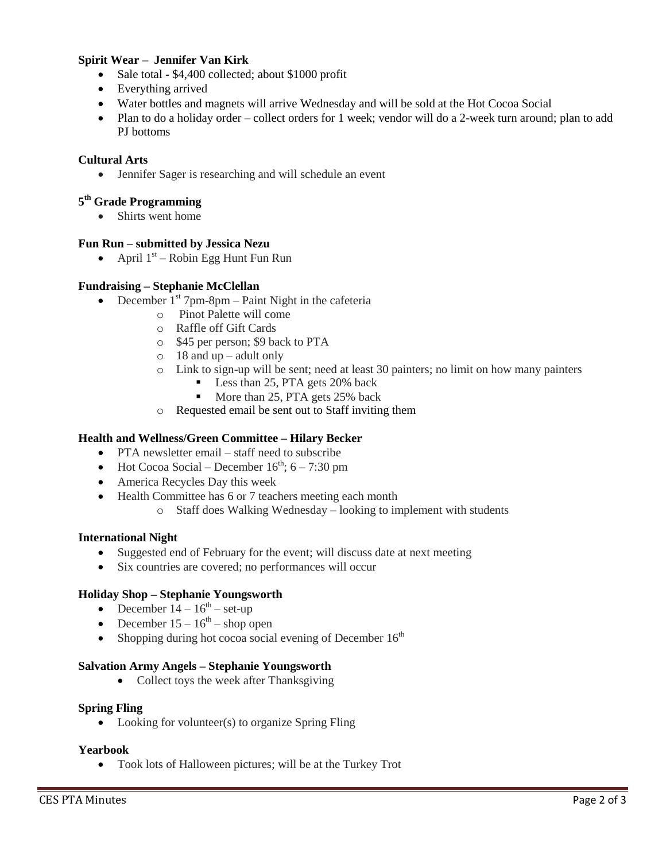### **Spirit Wear – Jennifer Van Kirk**

- Sale total \$4,400 collected; about \$1000 profit
- Everything arrived
- Water bottles and magnets will arrive Wednesday and will be sold at the Hot Cocoa Social
- Plan to do a holiday order collect orders for 1 week; vendor will do a 2-week turn around; plan to add PJ bottoms

### **Cultural Arts**

Jennifer Sager is researching and will schedule an event

### **5 th Grade Programming**

• Shirts went home

### **Fun Run – submitted by Jessica Nezu**

• April  $1<sup>st</sup>$  – Robin Egg Hunt Fun Run

### **Fundraising – Stephanie McClellan**

- December  $1<sup>st</sup>$  7pm-8pm Paint Night in the cafeteria
	- o Pinot Palette will come
	- o Raffle off Gift Cards
	- o \$45 per person; \$9 back to PTA
	- $\circ$  18 and up adult only
	- o Link to sign-up will be sent; need at least 30 painters; no limit on how many painters
		- Less than 25, PTA gets 20% back
		- More than 25, PTA gets 25% back
	- o Requested email be sent out to Staff inviting them

### **Health and Wellness/Green Committee – Hilary Becker**

- PTA newsletter email staff need to subscribe
- $\bullet$  Hot Cocoa Social December 16<sup>th</sup>; 6 7:30 pm
- America Recycles Day this week
- Health Committee has 6 or 7 teachers meeting each month
	- o Staff does Walking Wednesday looking to implement with students

### **International Night**

- Suggested end of February for the event; will discuss date at next meeting
- Six countries are covered; no performances will occur

### **Holiday Shop – Stephanie Youngsworth**

- December  $14 16^{th}$  set-up
- December  $15 16^{th}$  shop open
- Shopping during hot cocoa social evening of December  $16<sup>th</sup>$

### **Salvation Army Angels – Stephanie Youngsworth**

• Collect toys the week after Thanksgiving

### **Spring Fling**

• Looking for volunteer(s) to organize Spring Fling

### **Yearbook**

Took lots of Halloween pictures; will be at the Turkey Trot